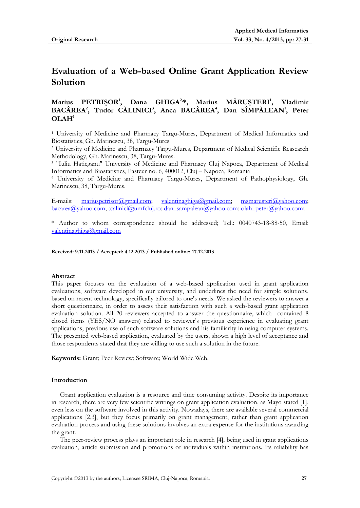# **Evaluation of a Web-based Online Grant Application Review Solution**

# **Marius PETRIŞOR<sup>1</sup> , Dana GHIGA2, \*, Marius MĂRUŞTERI<sup>1</sup> , Vladimir BACÂREA<sup>2</sup> , Tudor CĂLINICI<sup>3</sup> , Anca BACÂREA<sup>4</sup> , Dan SÎMPĂLEAN<sup>1</sup> , Peter**   $\mathbf{O}\mathbf{L}\mathbf{A}\mathbf{H}^1$

<sup>1</sup> University of Medicine and Pharmacy Targu-Mures, Department of Medical Informatics and Biostatistics, Gh. Marinescu, 38, Targu-Mures

<sup>2</sup> University of Medicine and Pharmacy Targu-Mures, Department of Medical Scientific Reasearch Methodology, Gh. Marinescu, 38, Targu-Mures.

<sup>3</sup> "Iuliu Hatieganu" University of Medicine and Pharmacy Cluj Napoca, Department of Medical Informatics and Biostatistics, Pasteur no. 6, 400012, Cluj – Napoca, Romania

<sup>4</sup> University of Medicine and Pharmacy Targu-Mures, Department of Pathophysiology, Gh. Marinescu, 38, Targu-Mures.

E-mails: [mariuspetrisor@gmail.com;](mailto:mariuspetrisor@gmail.com) [valentinaghiga@gmail.com;](mailto:valentinaghiga@gmail.com) [msmarusteri@yahoo.com;](mailto:msmarusteri@yahoo.com) [bacarea@yahoo.com;](mailto:bacarea@yahoo.com) [tcalinici@umfcluj.ro;](mailto:tcalinici@umfcluj.ro) [dan\\_sampalean@yahoo.com;](mailto:dan_sampalean@yahoo.com) [olah\\_peter@yahoo.com;](mailto:olah_peter@yahoo.com)

\* Author to whom correspondence should be addressed; Tel.: 0040743-18-88-50, Email: [valentinaghiga@gmail.com](mailto:valentinaghiga@gmail.com)

**Received: 9.11.2013 / Accepted: 4.12.2013 / Published online: 17.12.2013**

#### **Abstract**

This paper focuses on the evaluation of a web-based application used in grant application evaluations, software developed in our university, and underlines the need for simple solutions, based on recent technology, specifically tailored to one's needs. We asked the reviewers to answer a short questionnaire, in order to assess their satisfaction with such a web-based grant application evaluation solution. All 20 reviewers accepted to answer the questionnaire, which contained 8 closed items (YES/NO answers) related to reviewer's previous experience in evaluating grant applications, previous use of such software solutions and his familiarity in using computer systems. The presented web-based application, evaluated by the users, shown a high level of acceptance and those respondents stated that they are willing to use such a solution in the future.

**Keywords:** Grant; Peer Review; Software; World Wide Web.

#### **Introduction**

Grant application evaluation is a resource and time consuming activity. Despite its importance in research, there are very few scientific writings on grant application evaluation, as Mayo stated [1], even less on the software involved in this activity. Nowadays, there are available several commercial applications [2,3], but they focus primarily on grant management, rather than grant application evaluation process and using these solutions involves an extra expense for the institutions awarding the grant.

The peer-review process plays an important role in research [4], being used in grant applications evaluation, article submission and promotions of individuals within institutions. Its reliability has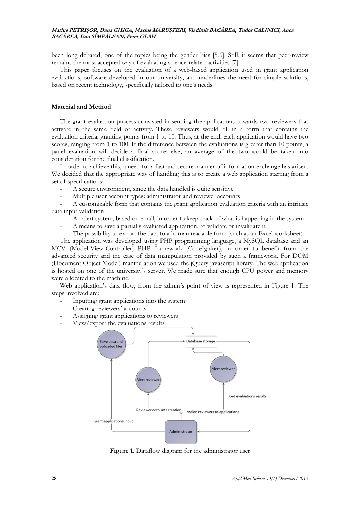been long debated, one of the topics being the gender bias [5,6]. Still, it seems that peer-review remains the most accepted way of evaluating science-related activities [7].

This paper focuses on the evaluation of a web-based application used in grant application evaluations, software developed in our university, and underlines the need for simple solutions, based on recent technology, specifically tailored to one's needs.

#### **Material and Method**

The grant evaluation process consisted in sending the applications towards two reviewers that activate in the same field of activity. These reviewers would fill in a form that contains the evaluation criteria, granting points from 1 to 10. Thus, at the end, each application would have two scores, ranging from 1 to 100. If the difference between the evaluations is greater than 10 points, a panel evaluation will decide a final score; else, an average of the two would be taken into consideration for the final classification.

In order to achieve this, a need for a fast and secure manner of information exchange has arisen. We decided that the appropriate way of handling this is to create a web application starting from a set of specifications:

- A secure environment, since the data handled is quite sensitive
- Multiple user account types: administrator and reviewer accounts

- A customizable form that contains the grant application evaluation criteria with an intrinsic data input validation

- An alert system, based on email, in order to keep track of what is happening in the system
- A means to save a partially evaluated application, to validate or invalidate it.
- The possibility to export the data to a human readable form (such as an Excel worksheet)

The application was developed using PHP programming language, a MySQL database and an MCV (Model-View-Controller) PHP framework (CodeIgniter), in order to benefit from the advanced security and the ease of data manipulation provided by such a framework. For DOM (Document Object Model) manipulation we used the jQuery javascript library. The web application is hosted on one of the university's server. We made sure that enough CPU power and memory were allocated to the machine.

Web application's data flow, from the admin's point of view is represented in Figure 1. The steps involved are:

- Inputting grant applications into the system
- Creating reviewers' accounts
- Assigning grant applications to reviewers
- View/export the evaluations results



Figure 1. Dataflow diagram for the administrator user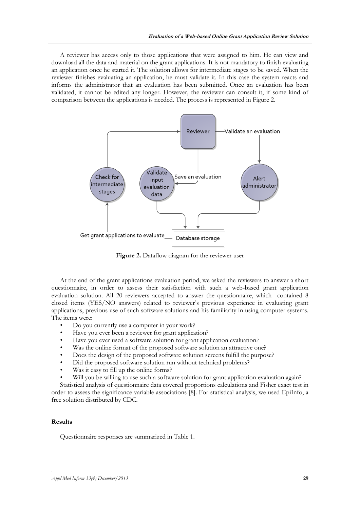A reviewer has access only to those applications that were assigned to him. He can view and download all the data and material on the grant applications. It is not mandatory to finish evaluating an application once he started it. The solution allows for intermediate stages to be saved. When the reviewer finishes evaluating an application, he must validate it. In this case the system reacts and informs the administrator that an evaluation has been submitted. Once an evaluation has been validated, it cannot be edited any longer. However, the reviewer can consult it, if some kind of comparison between the applications is needed. The process is represented in Figure 2.



Figure 2. Dataflow diagram for the reviewer user

At the end of the grant applications evaluation period, we asked the reviewers to answer a short questionnaire, in order to assess their satisfaction with such a web-based grant application evaluation solution. All 20 reviewers accepted to answer the questionnaire, which contained 8 closed items (YES/NO answers) related to reviewer's previous experience in evaluating grant applications, previous use of such software solutions and his familiarity in using computer systems. The items were:

- Do you currently use a computer in your work?
- Have you ever been a reviewer for grant application?
- Have you ever used a software solution for grant application evaluation?
- Was the online format of the proposed software solution an attractive one?
- Does the design of the proposed software solution screens fulfill the purpose?
- Did the proposed software solution run without technical problems?
- Was it easy to fill up the online forms?
- Will you be willing to use such a software solution for grant application evaluation again?

Statistical analysis of questionnaire data covered proportions calculations and Fisher exact test in order to assess the significance variable associations [8]. For statistical analysis, we used EpiInfo, a free solution distributed by CDC.

#### **Results**

Questionnaire responses are summarized in Table 1.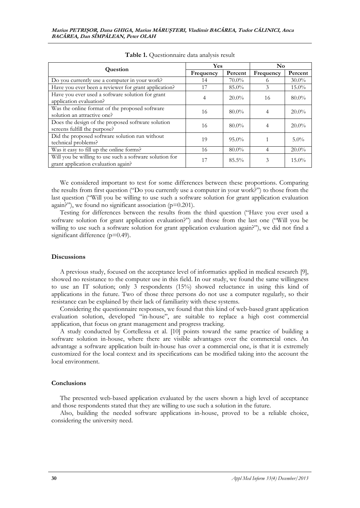| Question                                                                                       | <b>Yes</b> |          | N <sub>0</sub> |          |
|------------------------------------------------------------------------------------------------|------------|----------|----------------|----------|
|                                                                                                | Frequency  | Percent  | Frequency      | Percent  |
| Do you currently use a computer in your work?                                                  | 14         | $70.0\%$ | 6              | $30.0\%$ |
| Have you ever been a reviewer for grant application?                                           | 17         | 85.0%    | 3              | $15.0\%$ |
| Have you ever used a software solution for grant<br>application evaluation?                    | 4          | $20.0\%$ | 16             | $80.0\%$ |
| Was the online format of the proposed software<br>solution an attractive one?                  | 16         | $80.0\%$ | 4              | $20.0\%$ |
| Does the design of the proposed software solution<br>screens fulfill the purpose?              | 16         | $80.0\%$ | 4              | $20.0\%$ |
| Did the proposed software solution run without<br>technical problems?                          | 19         | $95.0\%$ |                | $5.0\%$  |
| Was it easy to fill up the online forms?                                                       | 16         | $80.0\%$ | 4              | $20.0\%$ |
| Will you be willing to use such a software solution for<br>grant application evaluation again? | 17         | $85.5\%$ | 3              | $15.0\%$ |

**Table 1.** Questionnaire data analysis result

We considered important to test for some differences between these proportions. Comparing the results from first question ("Do you currently use a computer in your work?") to those from the last question ("Will you be willing to use such a software solution for grant application evaluation again?"), we found no significant association (p=0.201).

Testing for differences between the results from the third question ("Have you ever used a software solution for grant application evaluation?") and those from the last one ("Will you be willing to use such a software solution for grant application evaluation again?"), we did not find a significant difference (p=0.49).

#### **Discussions**

A previous study, focused on the acceptance level of informatics applied in medical research [9], showed no resistance to the computer use in this field. In our study, we found the same willingness to use an IT solution; only 3 respondents (15%) showed reluctance in using this kind of applications in the future. Two of those three persons do not use a computer regularly, so their resistance can be explained by their lack of familiarity with these systems.

Considering the questionnaire responses, we found that this kind of web-based grant application evaluation solution, developed "in-house", are suitable to replace a high cost commercial application, that focus on grant management and progress tracking.

A study conducted by Cortellessa et al. [10] points toward the same practice of building a software solution in-house, where there are visible advantages over the commercial ones. An advantage a software application built in-house has over a commercial one, is that it is extremely customized for the local context and its specifications can be modified taking into the account the local environment.

### **Conclusions**

The presented web-based application evaluated by the users shown a high level of acceptance and those respondents stated that they are willing to use such a solution in the future.

Also, building the needed software applications in-house, proved to be a reliable choice, considering the university need.